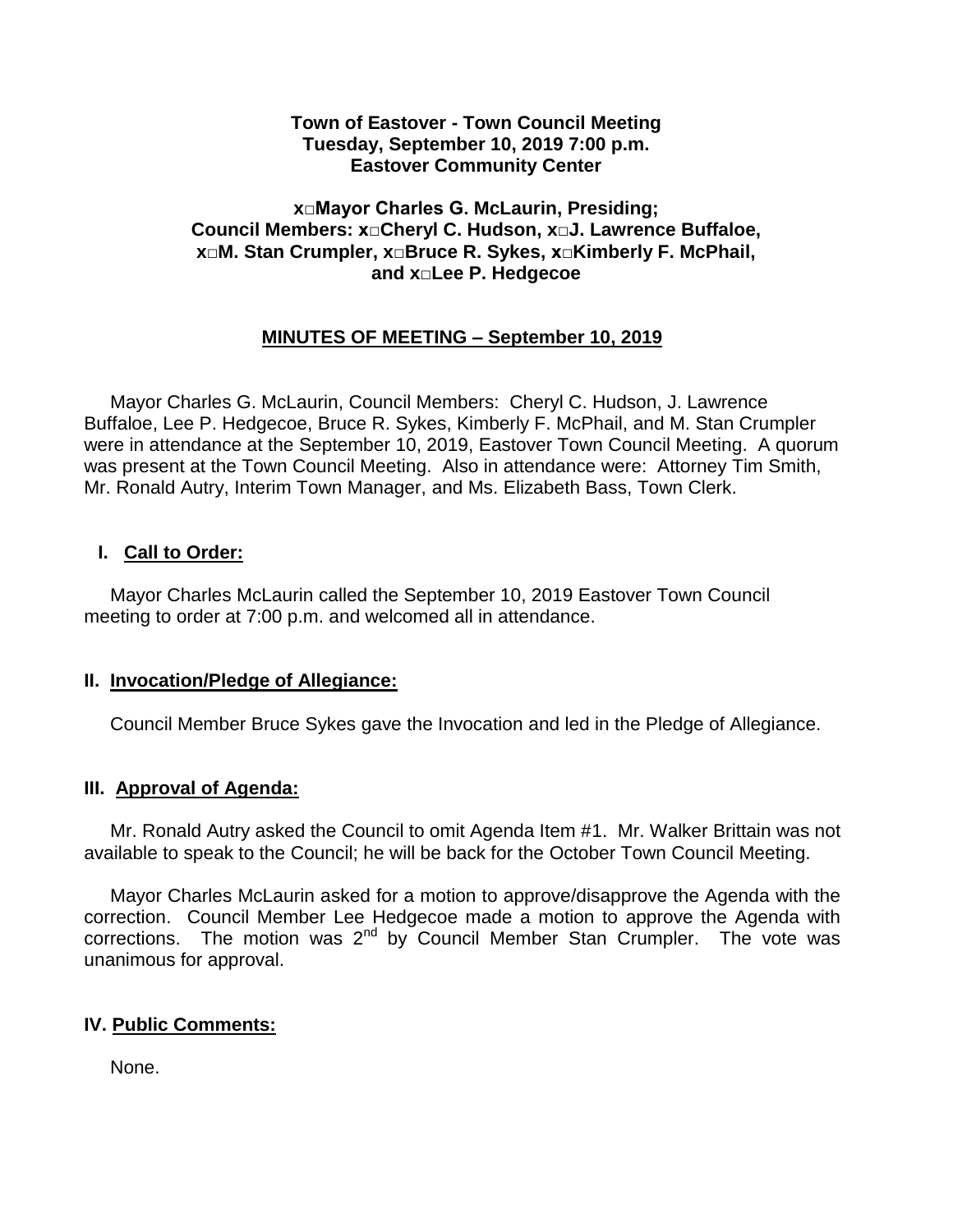#### **Town of Eastover - Town Council Meeting Tuesday, September 10, 2019 7:00 p.m. Eastover Community Center**

### **x□Mayor Charles G. McLaurin, Presiding; Council Members: x□Cheryl C. Hudson, x□J. Lawrence Buffaloe, x□M. Stan Crumpler, x□Bruce R. Sykes, x□Kimberly F. McPhail, and x□Lee P. Hedgecoe**

## **MINUTES OF MEETING – September 10, 2019**

 Mayor Charles G. McLaurin, Council Members: Cheryl C. Hudson, J. Lawrence Buffaloe, Lee P. Hedgecoe, Bruce R. Sykes, Kimberly F. McPhail, and M. Stan Crumpler were in attendance at the September 10, 2019, Eastover Town Council Meeting. A quorum was present at the Town Council Meeting. Also in attendance were: Attorney Tim Smith, Mr. Ronald Autry, Interim Town Manager, and Ms. Elizabeth Bass, Town Clerk.

### **I. Call to Order:**

 Mayor Charles McLaurin called the September 10, 2019 Eastover Town Council meeting to order at 7:00 p.m. and welcomed all in attendance.

### **II. Invocation/Pledge of Allegiance:**

Council Member Bruce Sykes gave the Invocation and led in the Pledge of Allegiance.

### **III. Approval of Agenda:**

 Mr. Ronald Autry asked the Council to omit Agenda Item #1. Mr. Walker Brittain was not available to speak to the Council; he will be back for the October Town Council Meeting.

 Mayor Charles McLaurin asked for a motion to approve/disapprove the Agenda with the correction. Council Member Lee Hedgecoe made a motion to approve the Agenda with corrections. The motion was  $2<sup>nd</sup>$  by Council Member Stan Crumpler. The vote was unanimous for approval.

### **IV. Public Comments:**

None.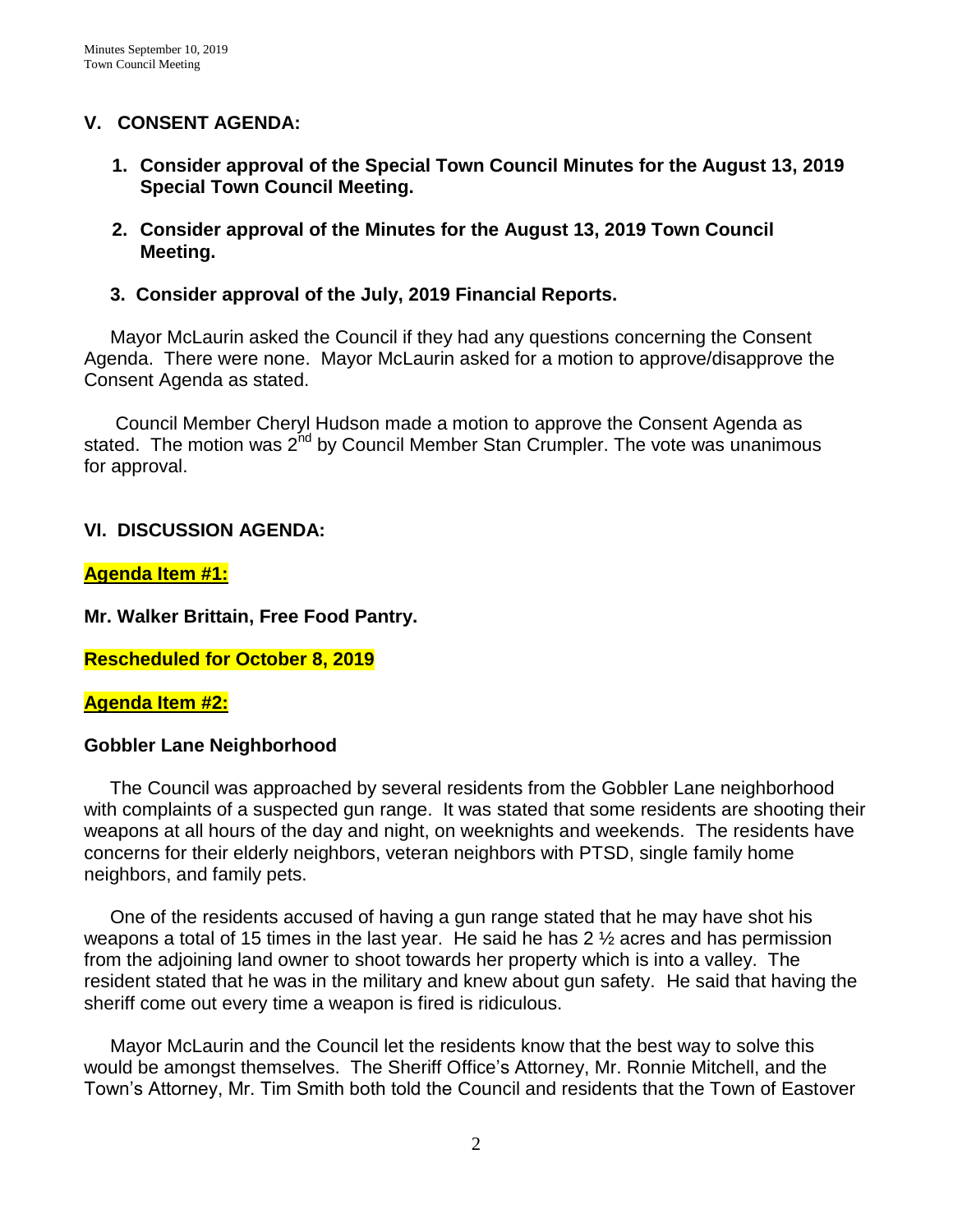## **V. CONSENT AGENDA:**

- **1. Consider approval of the Special Town Council Minutes for the August 13, 2019 Special Town Council Meeting.**
- **2. Consider approval of the Minutes for the August 13, 2019 Town Council Meeting.**
- **3. Consider approval of the July, 2019 Financial Reports.**

 Mayor McLaurin asked the Council if they had any questions concerning the Consent Agenda. There were none. Mayor McLaurin asked for a motion to approve/disapprove the Consent Agenda as stated.

 Council Member Cheryl Hudson made a motion to approve the Consent Agenda as stated. The motion was  $2^{nd}$  by Council Member Stan Crumpler. The vote was unanimous for approval.

### **VI. DISCUSSION AGENDA:**

### **Agenda Item #1:**

**Mr. Walker Brittain, Free Food Pantry.** 

**Rescheduled for October 8, 2019**

#### **Agenda Item #2:**

### **Gobbler Lane Neighborhood**

 The Council was approached by several residents from the Gobbler Lane neighborhood with complaints of a suspected gun range. It was stated that some residents are shooting their weapons at all hours of the day and night, on weeknights and weekends. The residents have concerns for their elderly neighbors, veteran neighbors with PTSD, single family home neighbors, and family pets.

 One of the residents accused of having a gun range stated that he may have shot his weapons a total of 15 times in the last year. He said he has 2 ½ acres and has permission from the adjoining land owner to shoot towards her property which is into a valley. The resident stated that he was in the military and knew about gun safety. He said that having the sheriff come out every time a weapon is fired is ridiculous.

 Mayor McLaurin and the Council let the residents know that the best way to solve this would be amongst themselves. The Sheriff Office's Attorney, Mr. Ronnie Mitchell, and the Town's Attorney, Mr. Tim Smith both told the Council and residents that the Town of Eastover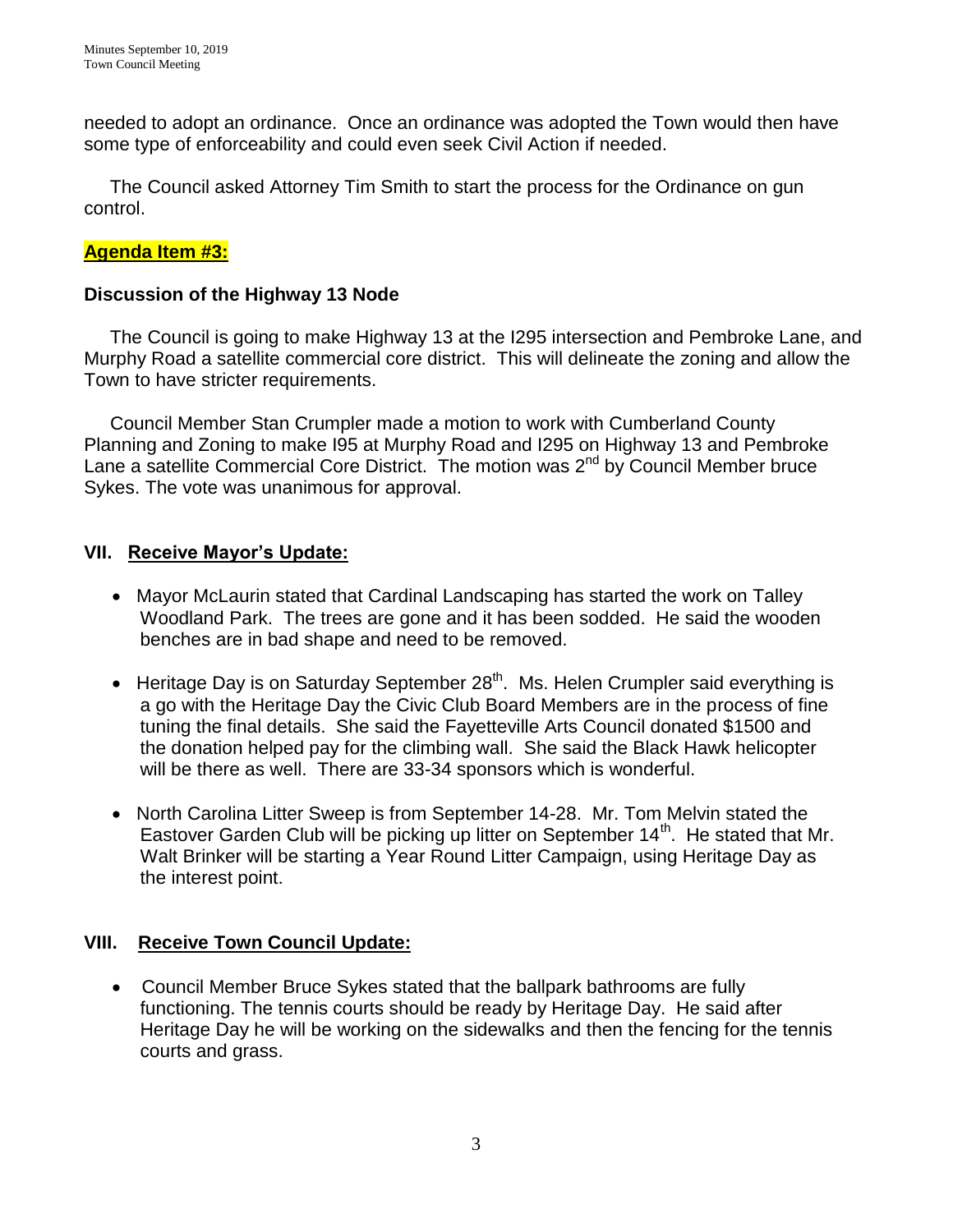needed to adopt an ordinance. Once an ordinance was adopted the Town would then have some type of enforceability and could even seek Civil Action if needed.

 The Council asked Attorney Tim Smith to start the process for the Ordinance on gun control.

## **Agenda Item #3:**

## **Discussion of the Highway 13 Node**

The Council is going to make Highway 13 at the I295 intersection and Pembroke Lane, and Murphy Road a satellite commercial core district. This will delineate the zoning and allow the Town to have stricter requirements.

 Council Member Stan Crumpler made a motion to work with Cumberland County Planning and Zoning to make I95 at Murphy Road and I295 on Highway 13 and Pembroke Lane a satellite Commercial Core District. The motion was  $2<sup>nd</sup>$  by Council Member bruce Sykes. The vote was unanimous for approval.

## **VII. Receive Mayor's Update:**

- Mayor McLaurin stated that Cardinal Landscaping has started the work on Talley Woodland Park. The trees are gone and it has been sodded. He said the wooden benches are in bad shape and need to be removed.
- Heritage Day is on Saturday September 28<sup>th</sup>. Ms. Helen Crumpler said everything is a go with the Heritage Day the Civic Club Board Members are in the process of fine tuning the final details. She said the Fayetteville Arts Council donated \$1500 and the donation helped pay for the climbing wall. She said the Black Hawk helicopter will be there as well. There are 33-34 sponsors which is wonderful.
- North Carolina Litter Sweep is from September 14-28. Mr. Tom Melvin stated the Eastover Garden Club will be picking up litter on September 14<sup>th</sup>. He stated that Mr. Walt Brinker will be starting a Year Round Litter Campaign, using Heritage Day as the interest point.

## **VIII. Receive Town Council Update:**

 Council Member Bruce Sykes stated that the ballpark bathrooms are fully functioning. The tennis courts should be ready by Heritage Day. He said after Heritage Day he will be working on the sidewalks and then the fencing for the tennis courts and grass.